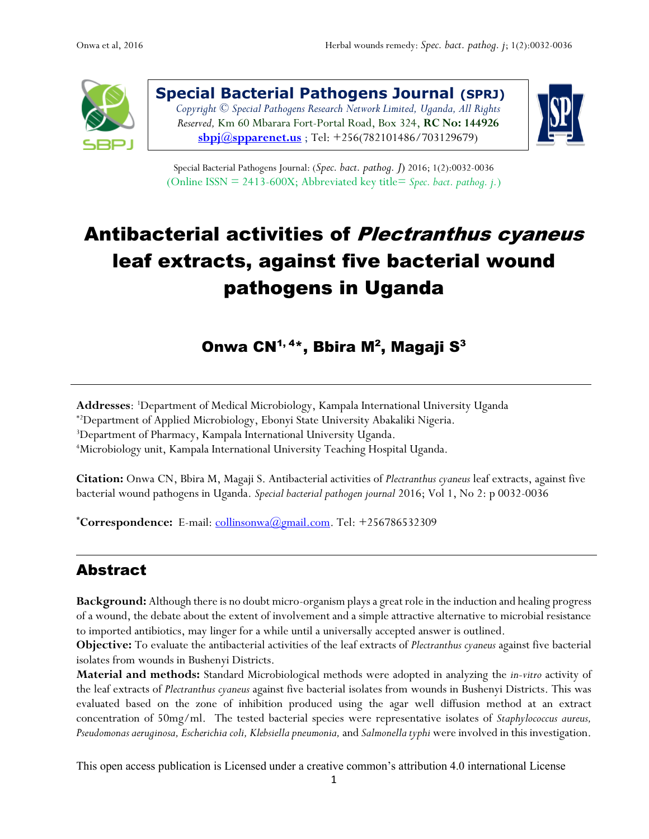

**Special Bacterial Pathogens Journal (SPRJ)** *Copyright © Special Pathogens Research Network Limited, Uganda, All Rights Reserved,* Km 60 Mbarara Fort-Portal Road, Box 324, **RC No: 144926 [sbpj@spparenet.us](mailto:sbpj@spparenet.us)** ; Tel: +256(782101486/703129679)



Special Bacterial Pathogens Journal: (*Spec. bact. pathog. J*) 2016; 1(2):0032-0036 (Online ISSN = 2413-600X; Abbreviated key title= *Spec. bact. pathog. j.*)

# Antibacterial activities of Plectranthus cyaneus leaf extracts, against five bacterial wound pathogens in Uganda

Onwa CN $^{1,\,4*}$ , Bbira M $^{2}$ , Magaji S $^{3}$ 

**Addresses**: <sup>1</sup>Department of Medical Microbiology, Kampala International University Uganda

\*2Department of Applied Microbiology, Ebonyi State University Abakaliki Nigeria.

<sup>3</sup>Department of Pharmacy, Kampala International University Uganda.

<sup>4</sup>Microbiology unit, Kampala International University Teaching Hospital Uganda.

**Citation:** Onwa CN, Bbira M, Magaji S. Antibacterial activities of *Plectranthus cyaneus* leaf extracts, against five bacterial wound pathogens in Uganda. *Special bacterial pathogen journal* 2016; Vol 1, No 2: p 0032-0036

**\*Correspondence:** E-mail: [collinsonwa@gmail.com.](mailto:collinsonwa@gmail.com) Tel: +256786532309

# Abstract

**Background:** Although there is no doubt micro-organism playsa great role in the induction and healing progress of a wound, the debate about the extent of involvement and a simple attractive alternative to microbial resistance to imported antibiotics, may linger for a while until a universally accepted answer is outlined.

**Objective:** To evaluate the antibacterial activities of the leaf extracts of *Plectranthus cyaneus* against five bacterial isolates from wounds in Bushenyi Districts.

**Material and methods:** Standard Microbiological methods were adopted in analyzing the *in-vitro* activity of the leaf extracts of *Plectranthus cyaneus* against five bacterial isolates from wounds in Bushenyi Districts. This was evaluated based on the zone of inhibition produced using the agar well diffusion method at an extract concentration of 50mg/ml. The tested bacterial species were representative isolates of *Staphylococcus aureus, Pseudomonas aeruginosa, Escherichiacoli, Klebsiella pneumonia,* and *Salmonella typhi* were involved in this investigation.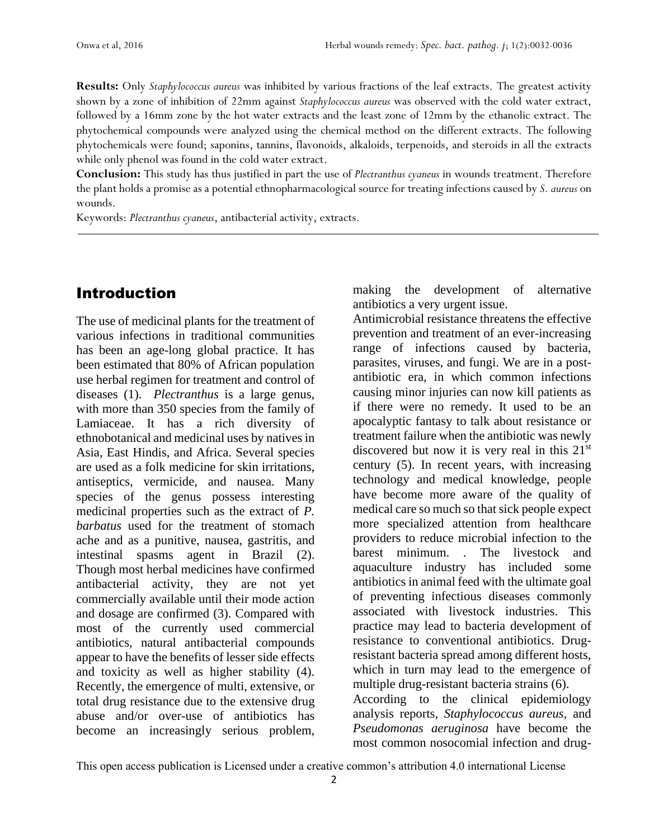**Results:** Only *Staphylococcus aureus* was inhibited by various fractions of the leaf extracts. The greatest activity shown by a zone of inhibition of 22mm against *Staphylococcus aureus* was observed with the cold water extract, followed by a 16mm zone by the hot water extracts and the least zone of 12mm by the ethanolic extract. The phytochemical compounds were analyzed using the chemical method on the different extracts. The following phytochemicals were found; saponins, tannins, flavonoids, alkaloids, terpenoids, and steroids in all the extracts while only phenol was found in the cold water extract.

**Conclusion:** This study has thus justified in part the use of *Plectranthus cyaneus* in wounds treatment. Therefore the plant holds a promise as a potential ethnopharmacological source for treating infections caused by *S. aureus* on wounds.

Keywords: *Plectranthus cyaneus*, antibacterial activity, extracts.

## Introduction

The use of medicinal plants for the treatment of various infections in traditional communities has been an age-long global practice. It has been estimated that 80% of African population use herbal regimen for treatment and control of diseases (1). *Plectranthus* is a large genus, with more than 350 species from the family of Lamiaceae. It has a rich diversity of ethnobotanical and medicinal uses by natives in Asia, East Hindis, and Africa. Several species are used as a folk medicine for skin irritations, antiseptics, vermicide, and nausea. Many species of the genus possess interesting medicinal properties such as the extract of *P. barbatus* used for the treatment of stomach ache and as a punitive, nausea, gastritis, and intestinal spasms agent in Brazil (2). Though most herbal medicines have confirmed antibacterial activity, they are not yet commercially available until their mode action and dosage are confirmed (3). Compared with most of the currently used commercial antibiotics, natural antibacterial compounds appear to have the benefits of lesser side effects and toxicity as well as higher stability (4). Recently, the emergence of multi, extensive, or total drug resistance due to the extensive drug abuse and/or over-use of antibiotics has become an increasingly serious problem,

making the development of alternative antibiotics a very urgent issue.

Antimicrobial resistance threatens the effective prevention and treatment of an ever-increasing range of infections caused by bacteria, parasites, viruses, and fungi. We are in a postantibiotic era, in which common infections causing minor injuries can now kill patients as if there were no remedy. It used to be an apocalyptic fantasy to talk about resistance or treatment failure when the antibiotic was newly discovered but now it is very real in this  $21<sup>st</sup>$ century (5). In recent years, with increasing technology and medical knowledge, people have become more aware of the quality of medical care so much so that sick people expect more specialized attention from healthcare providers to reduce microbial infection to the barest minimum. . The livestock and aquaculture industry has included some antibiotics in animal feed with the ultimate goal of preventing infectious diseases commonly associated with livestock industries. This practice may lead to bacteria development of resistance to conventional antibiotics. Drugresistant bacteria spread among different hosts, which in turn may lead to the emergence of multiple drug-resistant bacteria strains (6). According to the clinical epidemiology analysis reports, *Staphylococcus aureus*, and *Pseudomonas aeruginosa* have become the most common nosocomial infection and drug-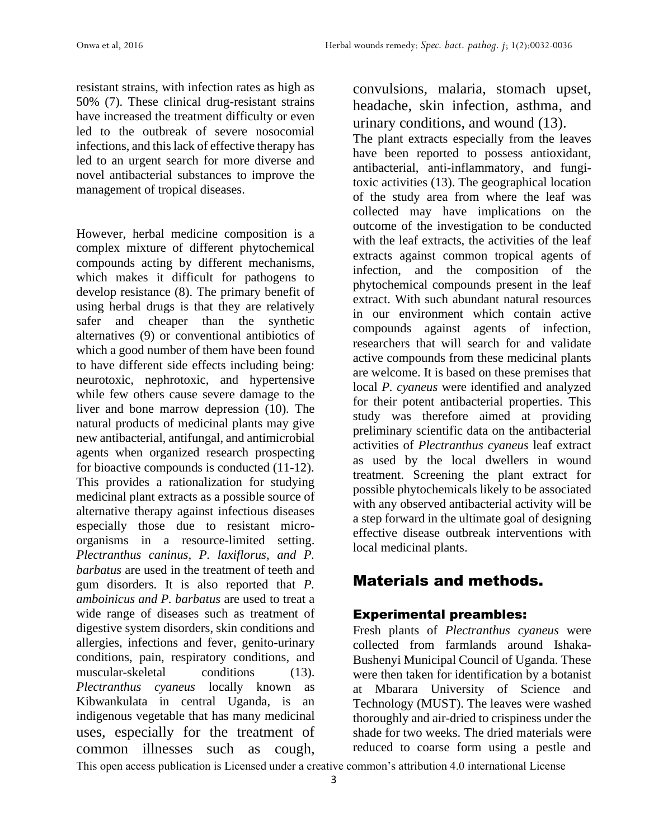resistant strains, with infection rates as high as 50% (7). These clinical drug-resistant strains have increased the treatment difficulty or even led to the outbreak of severe nosocomial infections, and this lack of effective therapy has led to an urgent search for more diverse and novel antibacterial substances to improve the management of tropical diseases.

However, herbal medicine composition is a complex mixture of different phytochemical compounds acting by different mechanisms, which makes it difficult for pathogens to develop resistance (8). The primary benefit of using herbal drugs is that they are relatively safer and cheaper than the synthetic alternatives (9) or conventional antibiotics of which a good number of them have been found to have different side effects including being: neurotoxic, nephrotoxic, and hypertensive while few others cause severe damage to the liver and bone marrow depression (10). The natural products of medicinal plants may give new antibacterial, antifungal, and antimicrobial agents when organized research prospecting for bioactive compounds is conducted (11-12). This provides a rationalization for studying medicinal plant extracts as a possible source of alternative therapy against infectious diseases especially those due to resistant microorganisms in a resource-limited setting. *Plectranthus caninus, P. laxiflorus, and P. barbatus* are used in the treatment of teeth and gum disorders. It is also reported that *P. amboinicus and P. barbatus* are used to treat a wide range of diseases such as treatment of digestive system disorders, skin conditions and allergies, infections and fever, genito-urinary conditions, pain, respiratory conditions, and muscular-skeletal conditions (13). *Plectranthus cyaneus* locally known as Kibwankulata in central Uganda, is an indigenous vegetable that has many medicinal uses, especially for the treatment of common illnesses such as cough,

convulsions, malaria, stomach upset, headache, skin infection, asthma, and urinary conditions, and wound (13).

The plant extracts especially from the leaves have been reported to possess antioxidant, antibacterial, anti-inflammatory, and fungitoxic activities (13). The geographical location of the study area from where the leaf was collected may have implications on the outcome of the investigation to be conducted with the leaf extracts, the activities of the leaf extracts against common tropical agents of infection, and the composition of the phytochemical compounds present in the leaf extract. With such abundant natural resources in our environment which contain active compounds against agents of infection, researchers that will search for and validate active compounds from these medicinal plants are welcome. It is based on these premises that local *P. cyaneus* were identified and analyzed for their potent antibacterial properties. This study was therefore aimed at providing preliminary scientific data on the antibacterial activities of *Plectranthus cyaneus* leaf extract as used by the local dwellers in wound treatment. Screening the plant extract for possible phytochemicals likely to be associated with any observed antibacterial activity will be a step forward in the ultimate goal of designing effective disease outbreak interventions with local medicinal plants.

# Materials and methods.

## Experimental preambles:

Fresh plants of *Plectranthus cyaneus* were collected from farmlands around Ishaka-Bushenyi Municipal Council of Uganda. These were then taken for identification by a botanist at Mbarara University of Science and Technology (MUST). The leaves were washed thoroughly and air-dried to crispiness under the shade for two weeks. The dried materials were reduced to coarse form using a pestle and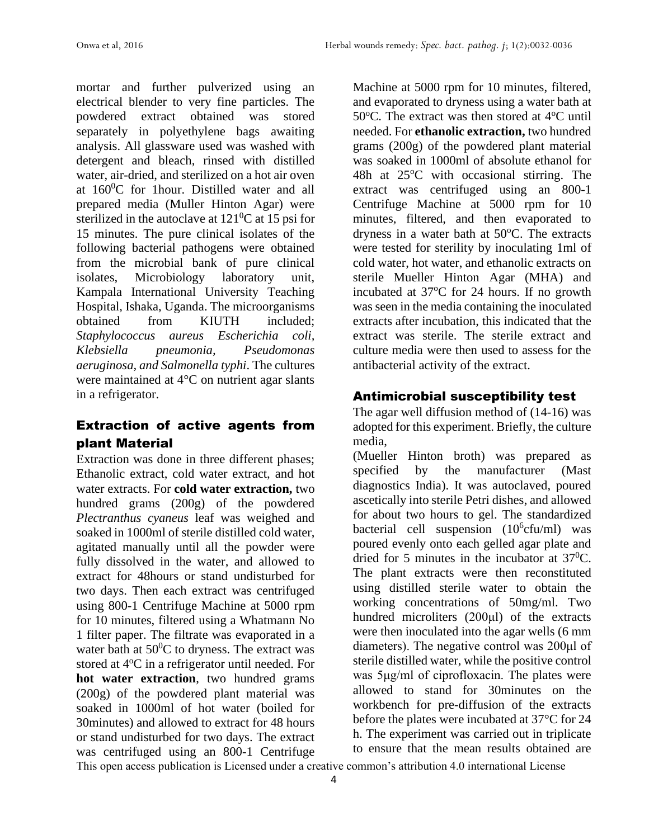mortar and further pulverized using an electrical blender to very fine particles. The powdered extract obtained was stored separately in polyethylene bags awaiting analysis. All glassware used was washed with detergent and bleach, rinsed with distilled water, air-dried, and sterilized on a hot air oven at  $160^{\circ}$ C for 1 hour. Distilled water and all prepared media (Muller Hinton Agar) were sterilized in the autoclave at  $121^0C$  at 15 psi for 15 minutes. The pure clinical isolates of the following bacterial pathogens were obtained from the microbial bank of pure clinical isolates, Microbiology laboratory unit, Kampala International University Teaching Hospital, Ishaka, Uganda. The microorganisms obtained from KIUTH included; *Staphylococcus aureus Escherichia coli, Klebsiella pneumonia, Pseudomonas aeruginosa, and Salmonella typhi*. The cultures were maintained at 4°C on nutrient agar slants in a refrigerator.

## Extraction of active agents from plant Material

Extraction was done in three different phases; Ethanolic extract, cold water extract, and hot water extracts. For **cold water extraction,** two hundred grams (200g) of the powdered *Plectranthus cyaneus* leaf was weighed and soaked in 1000ml of sterile distilled cold water, agitated manually until all the powder were fully dissolved in the water, and allowed to extract for 48hours or stand undisturbed for two days. Then each extract was centrifuged using 800-1 Centrifuge Machine at 5000 rpm for 10 minutes, filtered using a Whatmann No 1 filter paper. The filtrate was evaporated in a water bath at  $50^{\circ}$ C to dryness. The extract was stored at 4<sup>o</sup>C in a refrigerator until needed. For **hot water extraction**, two hundred grams (200g) of the powdered plant material was soaked in 1000ml of hot water (boiled for 30minutes) and allowed to extract for 48 hours or stand undisturbed for two days. The extract was centrifuged using an 800-1 Centrifuge

Machine at 5000 rpm for 10 minutes, filtered, and evaporated to dryness using a water bath at 50 $^{\circ}$ C. The extract was then stored at 4 $^{\circ}$ C until needed. For **ethanolic extraction,** two hundred grams (200g) of the powdered plant material was soaked in 1000ml of absolute ethanol for 48h at  $25^{\circ}$ C with occasional stirring. The extract was centrifuged using an 800-1 Centrifuge Machine at 5000 rpm for 10 minutes, filtered, and then evaporated to dryness in a water bath at  $50^{\circ}$ C. The extracts were tested for sterility by inoculating 1ml of cold water, hot water, and ethanolic extracts on sterile Mueller Hinton Agar (MHA) and incubated at  $37^{\circ}$ C for 24 hours. If no growth was seen in the media containing the inoculated extracts after incubation, this indicated that the extract was sterile. The sterile extract and culture media were then used to assess for the antibacterial activity of the extract.

## Antimicrobial susceptibility test

The agar well diffusion method of (14-16) was adopted for this experiment. Briefly, the culture media,

(Mueller Hinton broth) was prepared as specified by the manufacturer (Mast diagnostics India). It was autoclaved, poured ascetically into sterile Petri dishes, and allowed for about two hours to gel. The standardized bacterial cell suspension  $(10^6$ cfu/ml) was poured evenly onto each gelled agar plate and dried for 5 minutes in the incubator at  $37^{\circ}$ C. The plant extracts were then reconstituted using distilled sterile water to obtain the working concentrations of 50mg/ml. Two hundred microliters (200μl) of the extracts were then inoculated into the agar wells (6 mm diameters). The negative control was 200μl of sterile distilled water, while the positive control was 5μg/ml of ciprofloxacin. The plates were allowed to stand for 30minutes on the workbench for pre-diffusion of the extracts before the plates were incubated at 37°C for 24 h. The experiment was carried out in triplicate to ensure that the mean results obtained are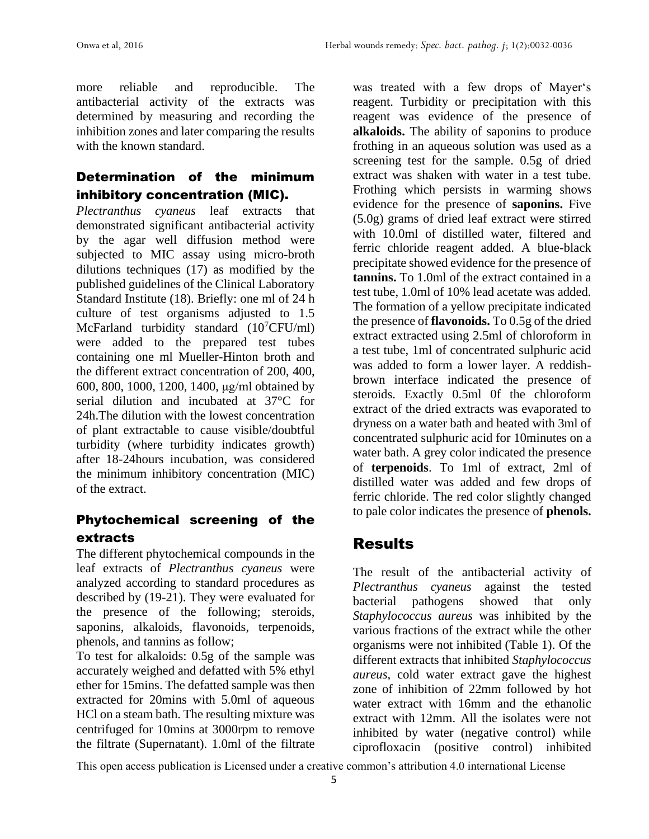more reliable and reproducible. The antibacterial activity of the extracts was determined by measuring and recording the inhibition zones and later comparing the results with the known standard.

## Determination of the minimum inhibitory concentration (MIC).

*Plectranthus cyaneus* leaf extracts that demonstrated significant antibacterial activity by the agar well diffusion method were subjected to MIC assay using micro-broth dilutions techniques (17) as modified by the published guidelines of the Clinical Laboratory Standard Institute (18). Briefly: one ml of 24 h culture of test organisms adjusted to 1.5 McFarland turbidity standard  $(10^7$ CFU/ml) were added to the prepared test tubes containing one ml Mueller-Hinton broth and the different extract concentration of 200, 400, 600, 800, 1000, 1200, 1400, μg/ml obtained by serial dilution and incubated at 37°C for 24h.The dilution with the lowest concentration of plant extractable to cause visible/doubtful turbidity (where turbidity indicates growth) after 18-24hours incubation, was considered the minimum inhibitory concentration (MIC) of the extract.

## Phytochemical screening of the extracts

The different phytochemical compounds in the leaf extracts of *Plectranthus cyaneus* were analyzed according to standard procedures as described by (19-21). They were evaluated for the presence of the following; steroids, saponins, alkaloids, flavonoids, terpenoids, phenols, and tannins as follow;

To test for alkaloids: 0.5g of the sample was accurately weighed and defatted with 5% ethyl ether for 15mins. The defatted sample was then extracted for 20mins with 5.0ml of aqueous HCl on a steam bath. The resulting mixture was centrifuged for 10mins at 3000rpm to remove the filtrate (Supernatant). 1.0ml of the filtrate

was treated with a few drops of Mayer's reagent. Turbidity or precipitation with this reagent was evidence of the presence of **alkaloids.** The ability of saponins to produce frothing in an aqueous solution was used as a screening test for the sample. 0.5g of dried extract was shaken with water in a test tube. Frothing which persists in warming shows evidence for the presence of **saponins.** Five (5.0g) grams of dried leaf extract were stirred with 10.0ml of distilled water, filtered and ferric chloride reagent added. A blue-black precipitate showed evidence for the presence of **tannins.** To 1.0ml of the extract contained in a test tube, 1.0ml of 10% lead acetate was added. The formation of a yellow precipitate indicated the presence of **flavonoids.** To 0.5g of the dried extract extracted using 2.5ml of chloroform in a test tube, 1ml of concentrated sulphuric acid was added to form a lower layer. A reddishbrown interface indicated the presence of steroids. Exactly 0.5ml 0f the chloroform extract of the dried extracts was evaporated to dryness on a water bath and heated with 3ml of concentrated sulphuric acid for 10minutes on a water bath. A grey color indicated the presence of **terpenoids**. To 1ml of extract, 2ml of distilled water was added and few drops of ferric chloride. The red color slightly changed to pale color indicates the presence of **phenols.**

# Results

The result of the antibacterial activity of *Plectranthus cyaneus* against the tested bacterial pathogens showed that only *Staphylococcus aureus* was inhibited by the various fractions of the extract while the other organisms were not inhibited (Table 1). Of the different extracts that inhibited *Staphylococcus aureus*, cold water extract gave the highest zone of inhibition of 22mm followed by hot water extract with 16mm and the ethanolic extract with 12mm. All the isolates were not inhibited by water (negative control) while ciprofloxacin (positive control) inhibited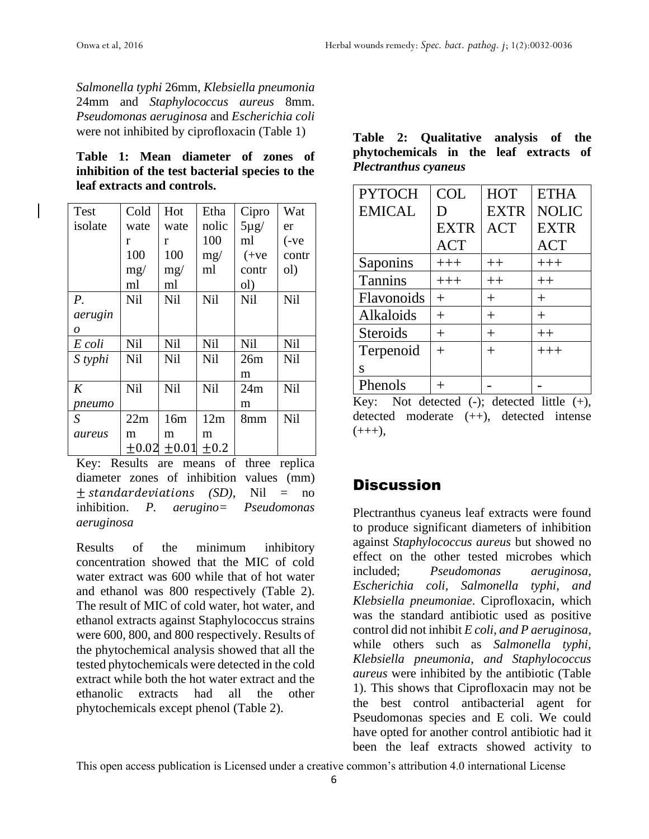*Salmonella typhi* 26mm, *Klebsiella pneumonia* 24mm and *Staphylococcus aureus* 8mm. *Pseudomonas aeruginosa* and *Escherichia coli* were not inhibited by ciprofloxacin (Table 1)

**Table 1: Mean diameter of zones of inhibition of the test bacterial species to the leaf extracts and controls.**

| <b>Test</b> | Cold       | Hot        | Etha       | Cipro     | Wat        |
|-------------|------------|------------|------------|-----------|------------|
| isolate     | wate       | wate       | nolic      | $5\mu g/$ | er         |
|             | r          | r          | 100        | ml        | $(-ve$     |
|             | 100        | 100        | mg/        | $(+ve$    | contr      |
|             | mg/        | mg/        | ml         | contr     | ol)        |
|             | ml         | ml         |            | ol)       |            |
| $P_{\cdot}$ | <b>Nil</b> | <b>Nil</b> | <b>Nil</b> | Nil       | <b>Nil</b> |
| aerugin     |            |            |            |           |            |
| 0           |            |            |            |           |            |
| E coli      | Nil        | <b>Nil</b> | <b>Nil</b> | Nil       | <b>Nil</b> |
| S typhi     | <b>Nil</b> | <b>Nil</b> | Nil        | 26m       | <b>Nil</b> |
|             |            |            |            | m         |            |
| K           | Nil        | <b>Nil</b> | <b>Nil</b> | 24m       | Nil        |
| pneumo      |            |            |            | m         |            |
| S           | 22m        | 16m        | 12m        | 8mm       | <b>Nil</b> |
| aureus      | m          | m          | m          |           |            |
|             | $+0.02$    | $+0.01$    | $+0.2$     |           |            |

Key: Results are means of three replica diameter zones of inhibition values (mm)  $\pm$  *standardeviations (SD)*, Nil = no inhibition. *P. aerugino= Pseudomonas aeruginosa*

Results of the minimum inhibitory concentration showed that the MIC of cold water extract was 600 while that of hot water and ethanol was 800 respectively (Table 2). The result of MIC of cold water, hot water, and ethanol extracts against Staphylococcus strains were 600, 800, and 800 respectively. Results of the phytochemical analysis showed that all the tested phytochemicals were detected in the cold extract while both the hot water extract and the ethanolic extracts had all the other phytochemicals except phenol (Table 2).

| Table 2: Qualitative analysis of the   |  |  |  |  |
|----------------------------------------|--|--|--|--|
| phytochemicals in the leaf extracts of |  |  |  |  |
| <b>Plectranthus cyaneus</b>            |  |  |  |  |

| <b>PYTOCH</b>   | <b>COL</b>  | <b>HOT</b>  | <b>ETHA</b>  |
|-----------------|-------------|-------------|--------------|
| <b>EMICAL</b>   | Ð           | <b>EXTR</b> | <b>NOLIC</b> |
|                 | <b>EXTR</b> | <b>ACT</b>  | <b>EXTR</b>  |
|                 | <b>ACT</b>  |             | <b>ACT</b>   |
| Saponins        | $+++$       | $++$        | $+++$        |
| <b>Tannins</b>  | $+++$       | $++$        | $++$         |
| Flavonoids      | $^{+}$      | $^{+}$      | $^{+}$       |
| Alkaloids       | $^{+}$      | $^{+}$      | $^{+}$       |
| <b>Steroids</b> | $^{+}$      | $^{+}$      | $++$         |
| Terpenoid       | $^{+}$      | $^{+}$      | $+++$        |
| S               |             |             |              |
| Phenols         |             |             |              |

Key: Not detected  $(-)$ ; detected little  $(+)$ , detected moderate (++), detected intense  $(++)$ ,

# **Discussion**

Plectranthus cyaneus leaf extracts were found to produce significant diameters of inhibition against *Staphylococcus aureus* but showed no effect on the other tested microbes which included; *Pseudomonas aeruginosa, Escherichia coli, Salmonella typhi, and Klebsiella pneumoniae*. Ciprofloxacin, which was the standard antibiotic used as positive control did not inhibit *E coli, and P aeruginosa,*  while others such as *Salmonella typhi, Klebsiella pneumonia, and Staphylococcus aureus* were inhibited by the antibiotic (Table 1). This shows that Ciprofloxacin may not be the best control antibacterial agent for Pseudomonas species and E coli. We could have opted for another control antibiotic had it been the leaf extracts showed activity to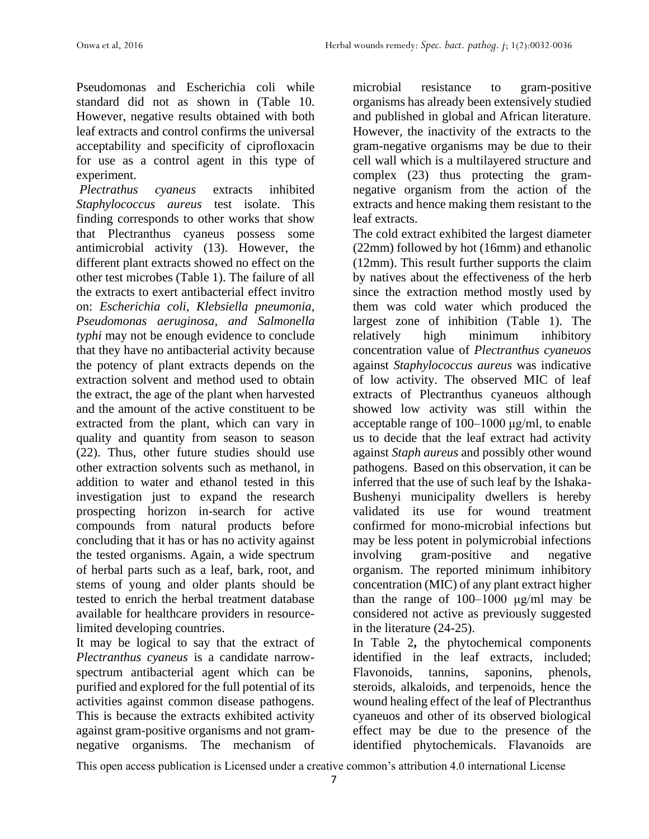Pseudomonas and Escherichia coli while standard did not as shown in (Table 10. However, negative results obtained with both leaf extracts and control confirms the universal acceptability and specificity of ciprofloxacin for use as a control agent in this type of experiment.

*Plectrathus cyaneus* extracts inhibited *Staphylococcus aureus* test isolate. This finding corresponds to other works that show that Plectranthus cyaneus possess some antimicrobial activity (13). However, the different plant extracts showed no effect on the other test microbes (Table 1). The failure of all the extracts to exert antibacterial effect invitro on: *Escherichia coli, Klebsiella pneumonia, Pseudomonas aeruginosa, and Salmonella typhi* may not be enough evidence to conclude that they have no antibacterial activity because the potency of plant extracts depends on the extraction solvent and method used to obtain the extract, the age of the plant when harvested and the amount of the active constituent to be extracted from the plant, which can vary in quality and quantity from season to season (22). Thus, other future studies should use other extraction solvents such as methanol, in addition to water and ethanol tested in this investigation just to expand the research prospecting horizon in-search for active compounds from natural products before concluding that it has or has no activity against the tested organisms. Again, a wide spectrum of herbal parts such as a leaf, bark, root, and stems of young and older plants should be tested to enrich the herbal treatment database available for healthcare providers in resourcelimited developing countries.

It may be logical to say that the extract of *Plectranthus cyaneus* is a candidate narrowspectrum antibacterial agent which can be purified and explored for the full potential of its activities against common disease pathogens. This is because the extracts exhibited activity against gram-positive organisms and not gramnegative organisms. The mechanism of microbial resistance to gram-positive organisms has already been extensively studied and published in global and African literature. However, the inactivity of the extracts to the gram-negative organisms may be due to their cell wall which is a multilayered structure and complex (23) thus protecting the gramnegative organism from the action of the extracts and hence making them resistant to the leaf extracts.

The cold extract exhibited the largest diameter (22mm) followed by hot (16mm) and ethanolic (12mm). This result further supports the claim by natives about the effectiveness of the herb since the extraction method mostly used by them was cold water which produced the largest zone of inhibition (Table 1). The relatively high minimum inhibitory concentration value of *Plectranthus cyaneuos* against *Staphylococcus aureus* was indicative of low activity. The observed MIC of leaf extracts of Plectranthus cyaneuos although showed low activity was still within the acceptable range of 100–1000 μg/ml, to enable us to decide that the leaf extract had activity against *Staph aureus* and possibly other wound pathogens. Based on this observation, it can be inferred that the use of such leaf by the Ishaka-Bushenyi municipality dwellers is hereby validated its use for wound treatment confirmed for mono-microbial infections but may be less potent in polymicrobial infections involving gram-positive and negative organism. The reported minimum inhibitory concentration (MIC) of any plant extract higher than the range of 100–1000 μg/ml may be considered not active as previously suggested in the literature (24-25).

In Table 2**,** the phytochemical components identified in the leaf extracts, included; Flavonoids, tannins, saponins, phenols, steroids, alkaloids, and terpenoids, hence the wound healing effect of the leaf of Plectranthus cyaneuos and other of its observed biological effect may be due to the presence of the identified phytochemicals. Flavanoids are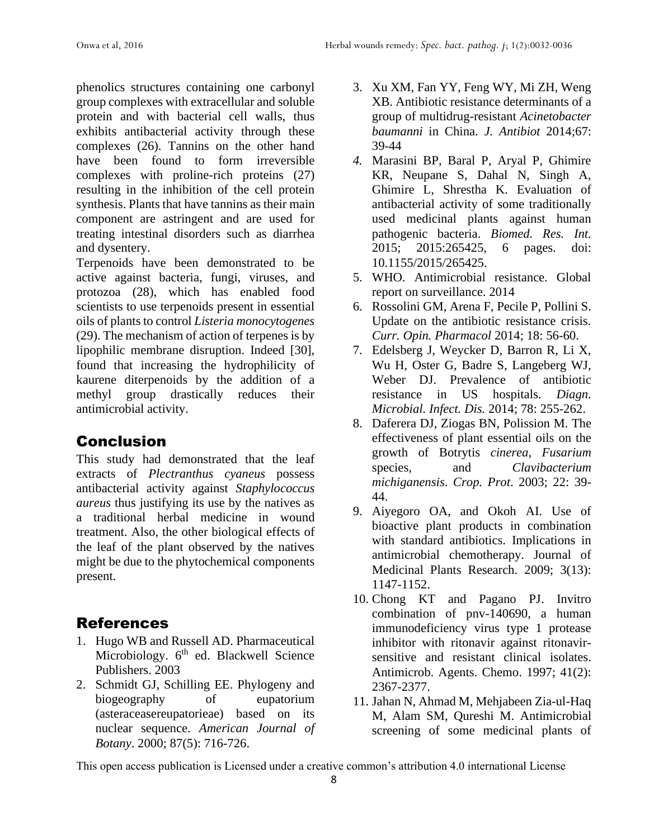phenolics structures containing one carbonyl group complexes with extracellular and soluble protein and with bacterial cell walls, thus exhibits antibacterial activity through these complexes (26). Tannins on the other hand have been found to form irreversible complexes with proline-rich proteins (27) resulting in the inhibition of the cell protein synthesis. Plants that have tannins as their main component are astringent and are used for treating intestinal disorders such as diarrhea and dysentery.

Terpenoids have been demonstrated to be active against bacteria, fungi, viruses, and protozoa (28), which has enabled food scientists to use terpenoids present in essential oils of plants to control *Listeria monocytogenes*  (29). The mechanism of action of terpenes is by lipophilic membrane disruption. Indeed [30], found that increasing the hydrophilicity of kaurene diterpenoids by the addition of a methyl group drastically reduces their antimicrobial activity.

## Conclusion

This study had demonstrated that the leaf extracts of *Plectranthus cyaneus* possess antibacterial activity against *Staphylococcus aureus* thus justifying its use by the natives as a traditional herbal medicine in wound treatment. Also, the other biological effects of the leaf of the plant observed by the natives might be due to the phytochemical components present.

## References

- 1. Hugo WB and Russell AD. Pharmaceutical Microbiology. 6<sup>th</sup> ed. Blackwell Science Publishers. 2003
- 2. Schmidt GJ, Schilling EE. Phylogeny and biogeography of eupatorium (asteraceasereupatorieae) based on its nuclear sequence. *American Journal of Botany*. 2000; 87(5): 716-726.
- 3. Xu XM, Fan YY, Feng WY, Mi ZH, Weng XB. Antibiotic resistance determinants of a group of multidrug-resistant *Acinetobacter baumanni* in China. *J. Antibiot* 2014;67: 39-44
- *4.* Marasini BP, Baral P, Aryal P, Ghimire KR, Neupane S, Dahal N, Singh A, Ghimire L, Shrestha K. Evaluation of antibacterial activity of some traditionally used medicinal plants against human pathogenic bacteria. *Biomed. Res. Int.* 2015; 2015:265425, 6 pages. doi: 10.1155/2015/265425.
- 5. WHO. Antimicrobial resistance. Global report on surveillance. 2014
- 6. Rossolini GM, Arena F, Pecile P, Pollini S. Update on the antibiotic resistance crisis. *Curr. Opin. Pharmacol* 2014; 18: 56-60.
- 7. Edelsberg J, Weycker D, Barron R, Li X, Wu H, Oster G, Badre S, Langeberg WJ, Weber DJ. Prevalence of antibiotic resistance in US hospitals. *Diagn. Microbial. Infect. Dis.* 2014; 78: 255-262.
- 8. Daferera DJ, Ziogas BN, Polission M. The effectiveness of plant essential oils on the growth of Botrytis *cinerea, Fusarium*  species, and *Clavibacterium michiganensis*. *Crop. Prot*. 2003; 22: 39- 44.
- 9. Aiyegoro OA, and Okoh AI. Use of bioactive plant products in combination with standard antibiotics. Implications in antimicrobial chemotherapy. Journal of Medicinal Plants Research. 2009; 3(13): 1147-1152.
- 10. Chong KT and Pagano PJ. Invitro combination of pnv-140690, a human immunodeficiency virus type 1 protease inhibitor with ritonavir against ritonavirsensitive and resistant clinical isolates. Antimicrob. Agents. Chemo. 1997; 41(2): 2367-2377.
- 11. Jahan N, Ahmad M, Mehjabeen Zia-ul-Haq M, Alam SM, Qureshi M. Antimicrobial screening of some medicinal plants of